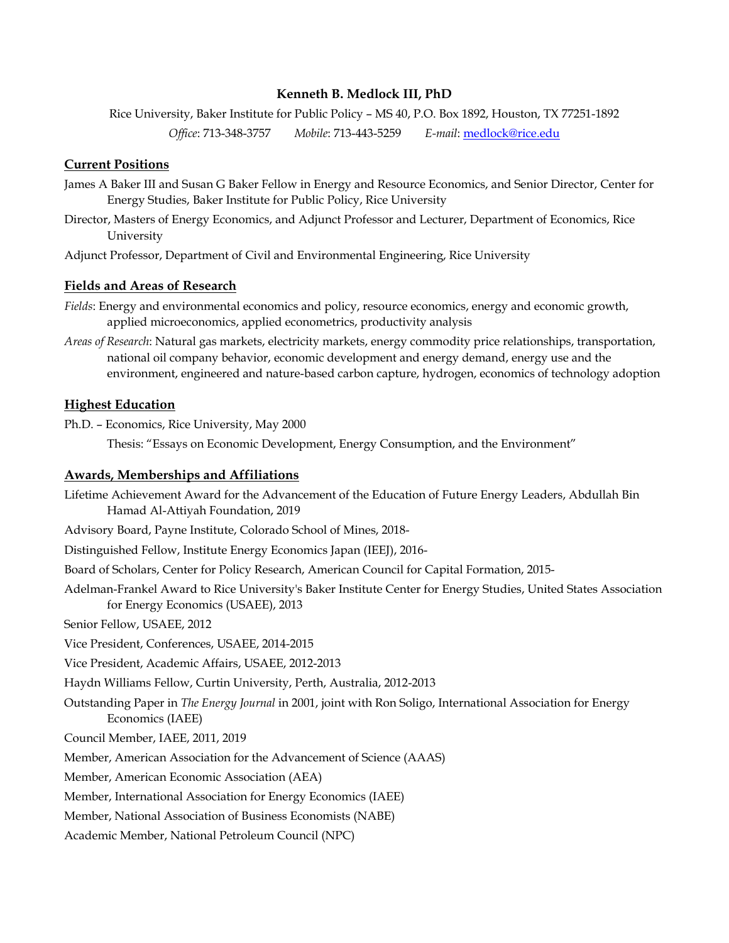## **Kenneth B. Medlock III, PhD**

Rice University, Baker Institute for Public Policy – MS 40, P.O. Box 1892, Houston, TX 77251-1892

*Office*: 713-348-3757 *Mobile*: 713-443-5259 *E-mail*: [medlock@rice.edu](mailto:medlock@rice.edu)

# **Current Positions**

- James A Baker III and Susan G Baker Fellow in Energy and Resource Economics, and Senior Director, Center for Energy Studies, Baker Institute for Public Policy, Rice University
- Director, Masters of Energy Economics, and Adjunct Professor and Lecturer, Department of Economics, Rice University
- Adjunct Professor, Department of Civil and Environmental Engineering, Rice University

# **Fields and Areas of Research**

- *Fields*: Energy and environmental economics and policy, resource economics, energy and economic growth, applied microeconomics, applied econometrics, productivity analysis
- *Areas of Research*: Natural gas markets, electricity markets, energy commodity price relationships, transportation, national oil company behavior, economic development and energy demand, energy use and the environment, engineered and nature-based carbon capture, hydrogen, economics of technology adoption

# **Highest Education**

Ph.D. – Economics, Rice University, May 2000

Thesis: "Essays on Economic Development, Energy Consumption, and the Environment"

## **Awards, Memberships and Affiliations**

Lifetime Achievement Award for the Advancement of the Education of Future Energy Leaders, Abdullah Bin Hamad Al-Attiyah Foundation, 2019

- Advisory Board, Payne Institute, Colorado School of Mines, 2018-
- Distinguished Fellow, Institute Energy Economics Japan (IEEJ), 2016-
- Board of Scholars, Center for Policy Research, American Council for Capital Formation, 2015-
- Adelman-Frankel Award to Rice University's Baker Institute Center for Energy Studies, United States Association for Energy Economics (USAEE), 2013

Senior Fellow, USAEE, 2012

Vice President, Conferences, USAEE, 2014-2015

Vice President, Academic Affairs, USAEE, 2012-2013

Haydn Williams Fellow, Curtin University, Perth, Australia, 2012-2013

- Outstanding Paper in *The Energy Journal* in 2001, joint with Ron Soligo, International Association for Energy Economics (IAEE)
- Council Member, IAEE, 2011, 2019
- Member, American Association for the Advancement of Science (AAAS)
- Member, American Economic Association (AEA)
- Member, International Association for Energy Economics (IAEE)
- Member, National Association of Business Economists (NABE)
- Academic Member, National Petroleum Council (NPC)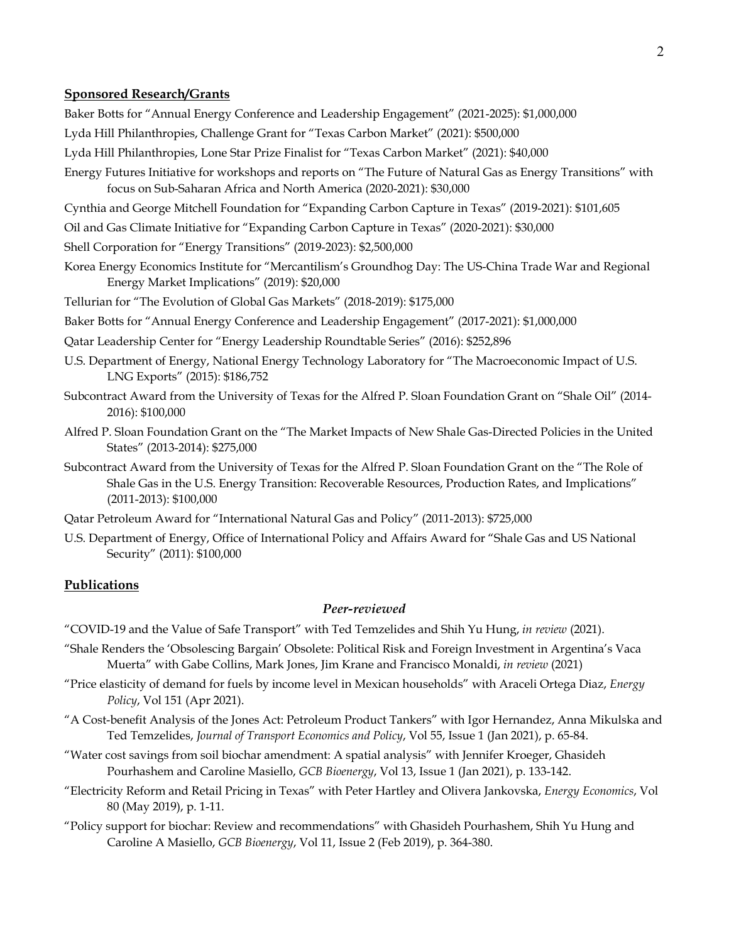#### **Sponsored Research/Grants**

Baker Botts for "Annual Energy Conference and Leadership Engagement" (2021-2025): \$1,000,000

- Lyda Hill Philanthropies, Challenge Grant for "Texas Carbon Market" (2021): \$500,000
- Lyda Hill Philanthropies, Lone Star Prize Finalist for "Texas Carbon Market" (2021): \$40,000
- Energy Futures Initiative for workshops and reports on "The Future of Natural Gas as Energy Transitions" with focus on Sub-Saharan Africa and North America (2020-2021): \$30,000

Cynthia and George Mitchell Foundation for "Expanding Carbon Capture in Texas" (2019-2021): \$101,605

- Oil and Gas Climate Initiative for "Expanding Carbon Capture in Texas" (2020-2021): \$30,000
- Shell Corporation for "Energy Transitions" (2019-2023): \$2,500,000
- Korea Energy Economics Institute for "Mercantilism's Groundhog Day: The US-China Trade War and Regional Energy Market Implications" (2019): \$20,000
- Tellurian for "The Evolution of Global Gas Markets" (2018-2019): \$175,000
- Baker Botts for "Annual Energy Conference and Leadership Engagement" (2017-2021): \$1,000,000
- Qatar Leadership Center for "Energy Leadership Roundtable Series" (2016): \$252,896
- U.S. Department of Energy, National Energy Technology Laboratory for "The Macroeconomic Impact of U.S. LNG Exports" (2015): \$186,752
- Subcontract Award from the University of Texas for the Alfred P. Sloan Foundation Grant on "Shale Oil" (2014- 2016): \$100,000
- Alfred P. Sloan Foundation Grant on the "The Market Impacts of New Shale Gas-Directed Policies in the United States" (2013-2014): \$275,000
- Subcontract Award from the University of Texas for the Alfred P. Sloan Foundation Grant on the "The Role of Shale Gas in the U.S. Energy Transition: Recoverable Resources, Production Rates, and Implications" (2011-2013): \$100,000
- Qatar Petroleum Award for "International Natural Gas and Policy" (2011-2013): \$725,000
- U.S. Department of Energy, Office of International Policy and Affairs Award for "Shale Gas and US National Security" (2011): \$100,000

#### **Publications**

## *Peer-reviewed*

"COVID-19 and the Value of Safe Transport" with Ted Temzelides and Shih Yu Hung, *in review* (2021).

- "Shale Renders the 'Obsolescing Bargain' Obsolete: Political Risk and Foreign Investment in Argentina's Vaca Muerta" with Gabe Collins, Mark Jones, Jim Krane and Francisco Monaldi, *in review* (2021)
- "Price elasticity of demand for fuels by income level in Mexican households" with Araceli Ortega Diaz, *Energy Policy*, Vol 151 (Apr 2021).
- "A Cost-benefit Analysis of the Jones Act: Petroleum Product Tankers" with Igor Hernandez, Anna Mikulska and Ted Temzelides, *Journal of Transport Economics and Policy*, Vol 55, Issue 1 (Jan 2021), p. 65-84.
- "Water cost savings from soil biochar amendment: A spatial analysis" with Jennifer Kroeger, Ghasideh Pourhashem and Caroline Masiello, *GCB Bioenergy*, Vol 13, Issue 1 (Jan 2021), p. 133-142.
- "Electricity Reform and Retail Pricing in Texas" with Peter Hartley and Olivera Jankovska, *Energy Economics*, Vol 80 (May 2019), p. 1-11.
- "Policy support for biochar: Review and recommendations" with Ghasideh Pourhashem, Shih Yu Hung and Caroline A Masiello, *GCB Bioenergy*, Vol 11, Issue 2 (Feb 2019), p. 364-380.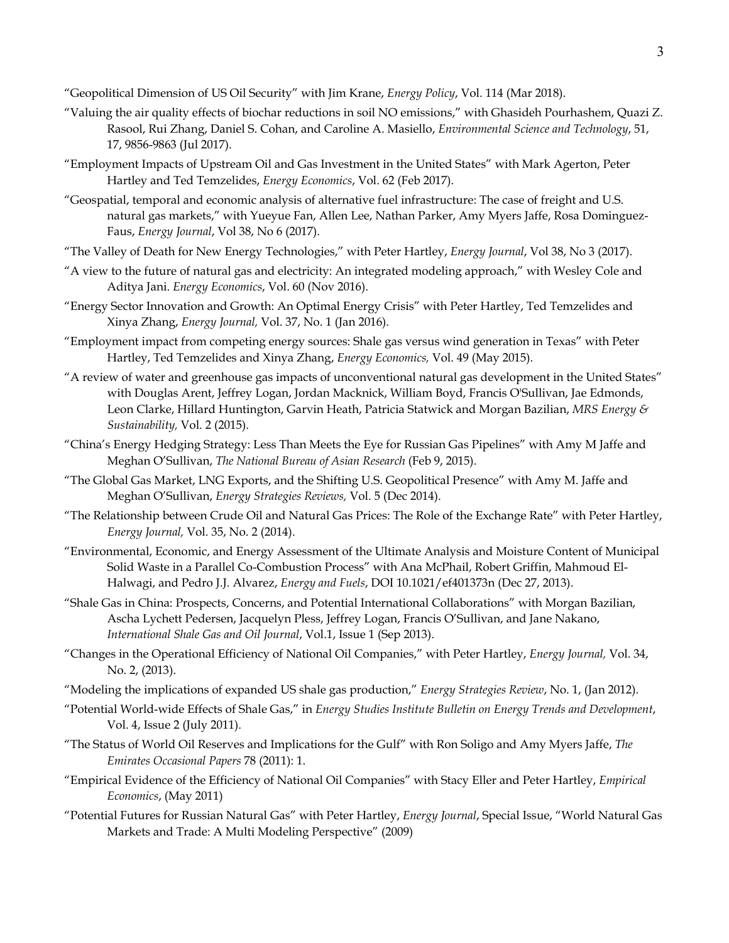"Geopolitical Dimension of US Oil Security" with Jim Krane, *Energy Policy*, Vol. 114 (Mar 2018).

- "Valuing the air quality effects of biochar reductions in soil NO emissions," with Ghasideh Pourhashem, Quazi Z. Rasool, Rui Zhang, Daniel S. Cohan, and Caroline A. Masiello, *Environmental Science and Technology*, 51, 17, 9856-9863 (Jul 2017).
- "Employment Impacts of Upstream Oil and Gas Investment in the United States" with Mark Agerton, Peter Hartley and Ted Temzelides, *Energy Economics*, Vol. 62 (Feb 2017).
- "Geospatial, temporal and economic analysis of alternative fuel infrastructure: The case of freight and U.S. natural gas markets," with Yueyue Fan, Allen Lee, Nathan Parker, Amy Myers Jaffe, Rosa Dominguez-Faus, *Energy Journal*, Vol 38, No 6 (2017).
- "The Valley of Death for New Energy Technologies," with Peter Hartley, *Energy Journal*, Vol 38, No 3 (2017).
- "A view to the future of natural gas and electricity: An integrated modeling approach," with Wesley Cole and Aditya Jani. *Energy Economics*, Vol. 60 (Nov 2016).
- "Energy Sector Innovation and Growth: An Optimal Energy Crisis" with Peter Hartley, Ted Temzelides and Xinya Zhang, *Energy Journal,* Vol. 37, No. 1 (Jan 2016).
- "Employment impact from competing energy sources: Shale gas versus wind generation in Texas" with Peter Hartley, Ted Temzelides and Xinya Zhang, *Energy Economics,* Vol. 49 (May 2015).
- "A review of water and greenhouse gas impacts of unconventional natural gas development in the United States" with Douglas Arent, Jeffrey Logan, Jordan Macknick, William Boyd, Francis O'Sullivan, Jae Edmonds, Leon Clarke, Hillard Huntington, Garvin Heath, Patricia Statwick and Morgan Bazilian, *MRS Energy & Sustainability,* Vol. 2 (2015).
- "China's Energy Hedging Strategy: Less Than Meets the Eye for Russian Gas Pipelines" with Amy M Jaffe and Meghan O'Sullivan, *The National Bureau of Asian Research* (Feb 9, 2015).
- "The Global Gas Market, LNG Exports, and the Shifting U.S. Geopolitical Presence" with Amy M. Jaffe and Meghan O'Sullivan, *Energy Strategies Reviews,* Vol. 5 (Dec 2014).
- "The Relationship between Crude Oil and Natural Gas Prices: The Role of the Exchange Rate" with Peter Hartley, *Energy Journal,* Vol. 35, No. 2 (2014).
- "Environmental, Economic, and Energy Assessment of the Ultimate Analysis and Moisture Content of Municipal Solid Waste in a Parallel Co-Combustion Process" with Ana McPhail, Robert Griffin, Mahmoud El-Halwagi, and Pedro J.J. Alvarez, *Energy and Fuels*, DOI 10.1021/ef401373n (Dec 27, 2013).
- "Shale Gas in China: Prospects, Concerns, and Potential International Collaborations" with Morgan Bazilian, Ascha Lychett Pedersen, Jacquelyn Pless, Jeffrey Logan, Francis O'Sullivan, and Jane Nakano, *International Shale Gas and Oil Journal*, Vol.1, Issue 1 (Sep 2013).
- "Changes in the Operational Efficiency of National Oil Companies," with Peter Hartley, *Energy Journal,* Vol. 34, No. 2, (2013).
- "Modeling the implications of expanded US shale gas production," *Energy Strategies Review*, No. 1, (Jan 2012).
- "Potential World-wide Effects of Shale Gas," in *Energy Studies Institute Bulletin on Energy Trends and Development*, Vol. 4, Issue 2 (July 2011).
- "The Status of World Oil Reserves and Implications for the Gulf" with Ron Soligo and Amy Myers Jaffe, *The Emirates Occasional Papers* 78 (2011): 1.
- "Empirical Evidence of the Efficiency of National Oil Companies" with Stacy Eller and Peter Hartley, *Empirical Economics*, (May 2011)
- "Potential Futures for Russian Natural Gas" with Peter Hartley, *Energy Journal*, Special Issue, "World Natural Gas Markets and Trade: A Multi Modeling Perspective" (2009)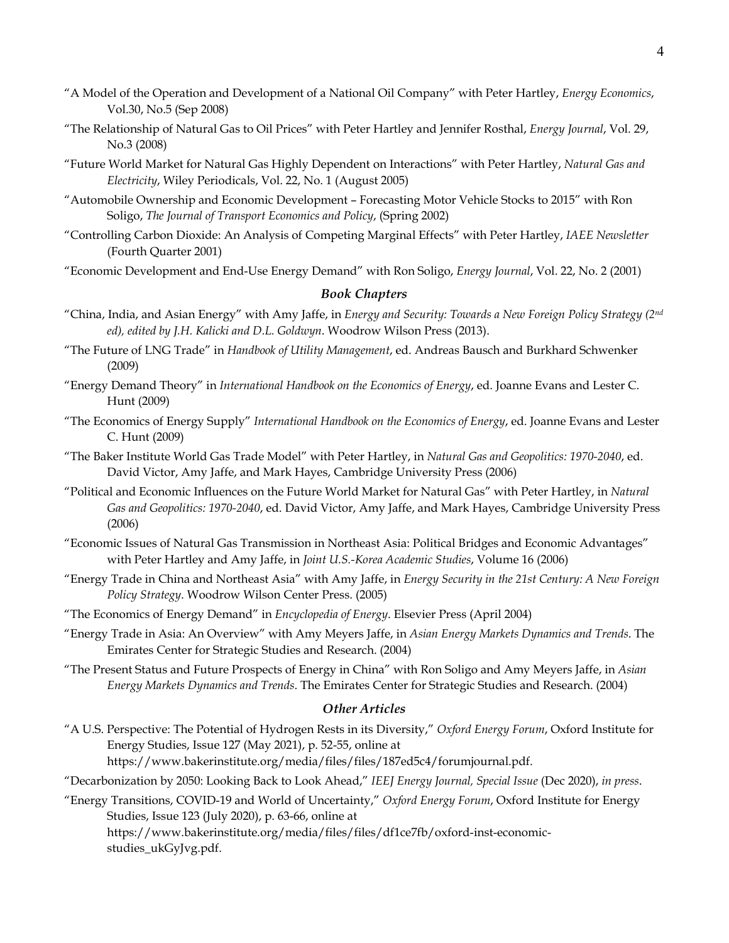- "A Model of the Operation and Development of a National Oil Company" with Peter Hartley, *Energy Economics*, Vol.30, No.5 (Sep 2008)
- "The Relationship of Natural Gas to Oil Prices" with Peter Hartley and Jennifer Rosthal, *Energy Journal*, Vol. 29, No.3 (2008)
- "Future World Market for Natural Gas Highly Dependent on Interactions" with Peter Hartley, *Natural Gas and Electricity*, Wiley Periodicals, Vol. 22, No. 1 (August 2005)
- "Automobile Ownership and Economic Development Forecasting Motor Vehicle Stocks to 2015" with Ron Soligo, *The Journal of Transport Economics and Policy*, (Spring 2002)
- "Controlling Carbon Dioxide: An Analysis of Competing Marginal Effects" with Peter Hartley, *IAEE Newsletter* (Fourth Quarter 2001)
- "Economic Development and End-Use Energy Demand" with Ron Soligo, *Energy Journal*, Vol. 22, No. 2 (2001)

#### *Book Chapters*

- "China, India, and Asian Energy" with Amy Jaffe, in *Energy and Security: Towards a New Foreign Policy Strategy (2nd ed), edited by J.H. Kalicki and D.L. Goldwyn*. Woodrow Wilson Press (2013).
- "The Future of LNG Trade" in *Handbook of Utility Management*, ed. Andreas Bausch and Burkhard Schwenker (2009)
- "Energy Demand Theory" in *International Handbook on the Economics of Energy*, ed. Joanne Evans and Lester C. Hunt (2009)
- "The Economics of Energy Supply" *International Handbook on the Economics of Energy*, ed. Joanne Evans and Lester C. Hunt (2009)
- "The Baker Institute World Gas Trade Model" with Peter Hartley, in *Natural Gas and Geopolitics: 1970-2040*, ed. David Victor, Amy Jaffe, and Mark Hayes, Cambridge University Press (2006)
- "Political and Economic Influences on the Future World Market for Natural Gas" with Peter Hartley, in *Natural Gas and Geopolitics: 1970-2040*, ed. David Victor, Amy Jaffe, and Mark Hayes, Cambridge University Press (2006)
- "Economic Issues of Natural Gas Transmission in Northeast Asia: Political Bridges and Economic Advantages" with Peter Hartley and Amy Jaffe, in *Joint U.S.-Korea Academic Studies*, Volume 16 (2006)
- "Energy Trade in China and Northeast Asia" with Amy Jaffe, in *Energy Security in the 21st Century: A New Foreign Policy Strategy*. Woodrow Wilson Center Press. (2005)
- "The Economics of Energy Demand" in *Encyclopedia of Energy*. Elsevier Press (April 2004)
- "Energy Trade in Asia: An Overview" with Amy Meyers Jaffe, in *Asian Energy Markets Dynamics and Trends*. The Emirates Center for Strategic Studies and Research. (2004)
- "The Present Status and Future Prospects of Energy in China" with Ron Soligo and Amy Meyers Jaffe, in *Asian Energy Markets Dynamics and Trends*. The Emirates Center for Strategic Studies and Research. (2004)

## *Other Articles*

"A U.S. Perspective: The Potential of Hydrogen Rests in its Diversity," *Oxford Energy Forum*, Oxford Institute for Energy Studies, Issue 127 (May 2021), p. 52-55, online at https://www.bakerinstitute.org/media/files/files/187ed5c4/forumjournal.pdf.

"Decarbonization by 2050: Looking Back to Look Ahead," *IEEJ Energy Journal, Special Issue* (Dec 2020), *in press*.

"Energy Transitions, COVID-19 and World of Uncertainty," *Oxford Energy Forum*, Oxford Institute for Energy Studies, Issue 123 (July 2020), p. 63-66, online at https://www.bakerinstitute.org/media/files/files/df1ce7fb/oxford-inst-economicstudies\_ukGyJvg.pdf.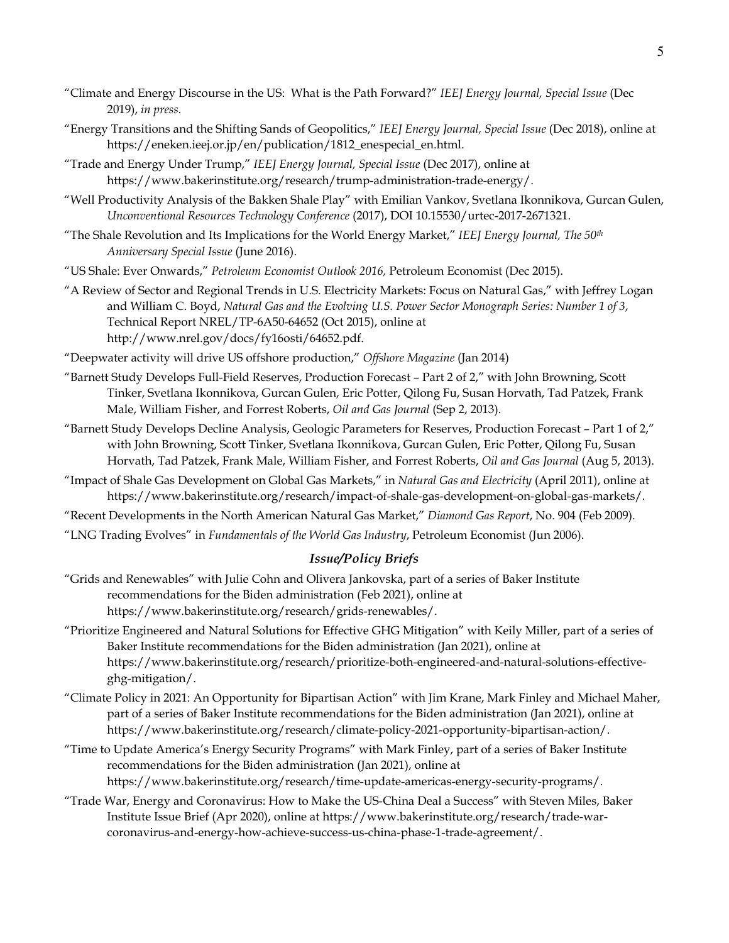- "Climate and Energy Discourse in the US: What is the Path Forward?" *IEEJ Energy Journal, Special Issue* (Dec 2019), *in press*.
- "Energy Transitions and the Shifting Sands of Geopolitics," *IEEJ Energy Journal, Special Issue* (Dec 2018), online at https://eneken.ieej.or.jp/en/publication/1812\_enespecial\_en.html.
- "Trade and Energy Under Trump," *IEEJ Energy Journal, Special Issue* (Dec 2017), online at https://www.bakerinstitute.org/research/trump-administration-trade-energy/.
- "Well Productivity Analysis of the Bakken Shale Play" with Emilian Vankov, Svetlana Ikonnikova, Gurcan Gulen, *Unconventional Resources Technology Conference* (2017), DOI 10.15530/urtec-2017-2671321.
- "The Shale Revolution and Its Implications for the World Energy Market," *IEEJ Energy Journal, The 50th Anniversary Special Issue* (June 2016).
- "US Shale: Ever Onwards," *Petroleum Economist Outlook 2016,* Petroleum Economist (Dec 2015).
- "A Review of Sector and Regional Trends in U.S. Electricity Markets: Focus on Natural Gas," with Jeffrey Logan and William C. Boyd, *Natural Gas and the Evolving U.S. Power Sector Monograph Series: Number 1 of 3*, Technical Report NREL/TP-6A50-64652 (Oct 2015), online at http://www.nrel.gov/docs/fy16osti/64652.pdf.
- "Deepwater activity will drive US offshore production," *Offshore Magazine* (Jan 2014)
- "Barnett Study Develops Full-Field Reserves, Production Forecast Part 2 of 2," with John Browning, Scott Tinker, Svetlana Ikonnikova, Gurcan Gulen, Eric Potter, Qilong Fu, Susan Horvath, Tad Patzek, Frank Male, William Fisher, and Forrest Roberts, *Oil and Gas Journal* (Sep 2, 2013).
- "Barnett Study Develops Decline Analysis, Geologic Parameters for Reserves, Production Forecast Part 1 of 2," with John Browning, Scott Tinker, Svetlana Ikonnikova, Gurcan Gulen, Eric Potter, Qilong Fu, Susan Horvath, Tad Patzek, Frank Male, William Fisher, and Forrest Roberts, *Oil and Gas Journal* (Aug 5, 2013).
- "Impact of Shale Gas Development on Global Gas Markets," in *Natural Gas and Electricity* (April 2011), online at https://www.bakerinstitute.org/research/impact-of-shale-gas-development-on-global-gas-markets/.
- "Recent Developments in the North American Natural Gas Market," *Diamond Gas Report*, No. 904 (Feb 2009).
- "LNG Trading Evolves" in *Fundamentals of the World Gas Industry*, Petroleum Economist (Jun 2006).

# *Issue/Policy Briefs*

- "Grids and Renewables" with Julie Cohn and Olivera Jankovska, part of a series of Baker Institute recommendations for the Biden administration (Feb 2021), online at https://www.bakerinstitute.org/research/grids-renewables/.
- "Prioritize Engineered and Natural Solutions for Effective GHG Mitigation" with Keily Miller, part of a series of Baker Institute recommendations for the Biden administration (Jan 2021), online at https://www.bakerinstitute.org/research/prioritize-both-engineered-and-natural-solutions-effectiveghg-mitigation/.
- "Climate Policy in 2021: An Opportunity for Bipartisan Action" with Jim Krane, Mark Finley and Michael Maher, part of a series of Baker Institute recommendations for the Biden administration (Jan 2021), online at https://www.bakerinstitute.org/research/climate-policy-2021-opportunity-bipartisan-action/.
- "Time to Update America's Energy Security Programs" with Mark Finley, part of a series of Baker Institute recommendations for the Biden administration (Jan 2021), online at https://www.bakerinstitute.org/research/time-update-americas-energy-security-programs/.
- "Trade War, Energy and Coronavirus: How to Make the US-China Deal a Success" with Steven Miles, Baker Institute Issue Brief (Apr 2020), online at https://www.bakerinstitute.org/research/trade-warcoronavirus-and-energy-how-achieve-success-us-china-phase-1-trade-agreement/.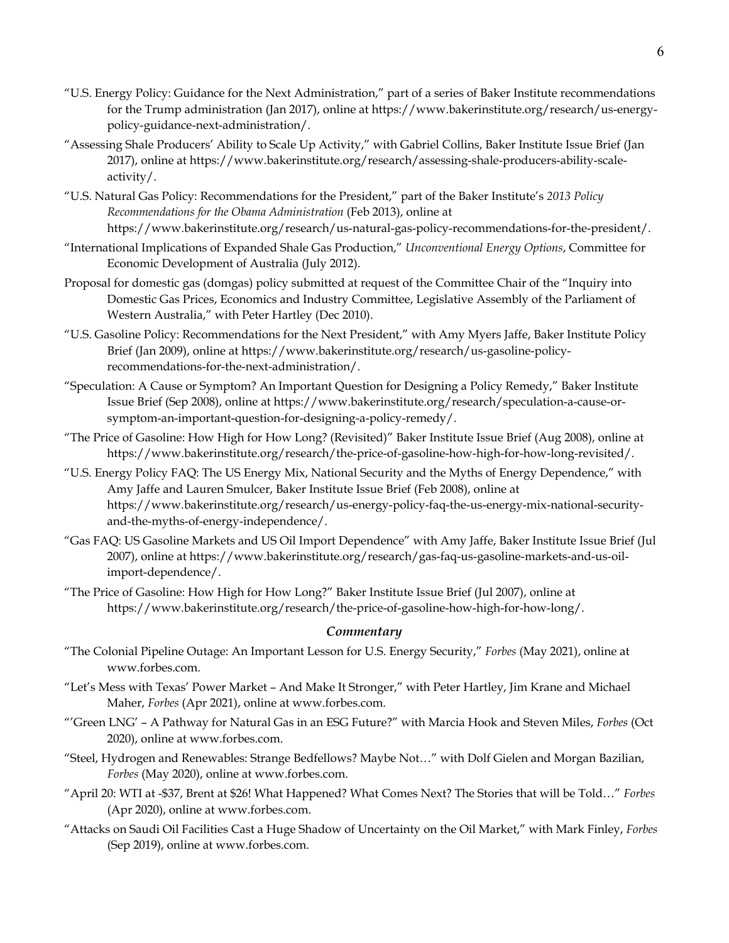- "U.S. Energy Policy: Guidance for the Next Administration," part of a series of Baker Institute recommendations for the Trump administration (Jan 2017), online at https://www.bakerinstitute.org/research/us-energypolicy-guidance-next-administration/.
- "Assessing Shale Producers' Ability to Scale Up Activity," with Gabriel Collins, Baker Institute Issue Brief (Jan 2017), online at https://www.bakerinstitute.org/research/assessing-shale-producers-ability-scaleactivity/.
- "U.S. Natural Gas Policy: Recommendations for the President," part of the Baker Institute's *2013 Policy Recommendations for the Obama Administration* (Feb 2013), online at https://www.bakerinstitute.org/research/us-natural-gas-policy-recommendations-for-the-president/.
- "International Implications of Expanded Shale Gas Production," *Unconventional Energy Options*, Committee for Economic Development of Australia (July 2012).
- Proposal for domestic gas (domgas) policy submitted at request of the Committee Chair of the "Inquiry into Domestic Gas Prices, Economics and Industry Committee, Legislative Assembly of the Parliament of Western Australia," with Peter Hartley (Dec 2010).
- "U.S. Gasoline Policy: Recommendations for the Next President," with Amy Myers Jaffe, Baker Institute Policy Brief (Jan 2009), online at https://www.bakerinstitute.org/research/us-gasoline-policyrecommendations-for-the-next-administration/.
- "Speculation: A Cause or Symptom? An Important Question for Designing a Policy Remedy," Baker Institute Issue Brief (Sep 2008), online at https://www.bakerinstitute.org/research/speculation-a-cause-orsymptom-an-important-question-for-designing-a-policy-remedy/.
- "The Price of Gasoline: How High for How Long? (Revisited)" Baker Institute Issue Brief (Aug 2008), online at https://www.bakerinstitute.org/research/the-price-of-gasoline-how-high-for-how-long-revisited/.
- "U.S. Energy Policy FAQ: The US Energy Mix, National Security and the Myths of Energy Dependence," with Amy Jaffe and Lauren Smulcer, Baker Institute Issue Brief (Feb 2008), online at https://www.bakerinstitute.org/research/us-energy-policy-faq-the-us-energy-mix-national-securityand-the-myths-of-energy-independence/.
- "Gas FAQ: US Gasoline Markets and US Oil Import Dependence" with Amy Jaffe, Baker Institute Issue Brief (Jul 2007), online at https://www.bakerinstitute.org/research/gas-faq-us-gasoline-markets-and-us-oilimport-dependence/.
- "The Price of Gasoline: How High for How Long?" Baker Institute Issue Brief (Jul 2007), online at https://www.bakerinstitute.org/research/the-price-of-gasoline-how-high-for-how-long/.

## *Commentary*

- "The Colonial Pipeline Outage: An Important Lesson for U.S. Energy Security," *Forbes* (May 2021), online at www.forbes.com.
- "Let's Mess with Texas' Power Market And Make It Stronger," with Peter Hartley, Jim Krane and Michael Maher, *Forbes* (Apr 2021), online at www.forbes.com.
- "'Green LNG' A Pathway for Natural Gas in an ESG Future?" with Marcia Hook and Steven Miles, *Forbes* (Oct 2020), online at www.forbes.com.
- "Steel, Hydrogen and Renewables: Strange Bedfellows? Maybe Not…" with Dolf Gielen and Morgan Bazilian, *Forbes* (May 2020), online at www.forbes.com.
- "April 20: WTI at -\$37, Brent at \$26! What Happened? What Comes Next? The Stories that will be Told…" *Forbes* (Apr 2020), online at www.forbes.com.
- "Attacks on Saudi Oil Facilities Cast a Huge Shadow of Uncertainty on the Oil Market," with Mark Finley, *Forbes* (Sep 2019), online at www.forbes.com.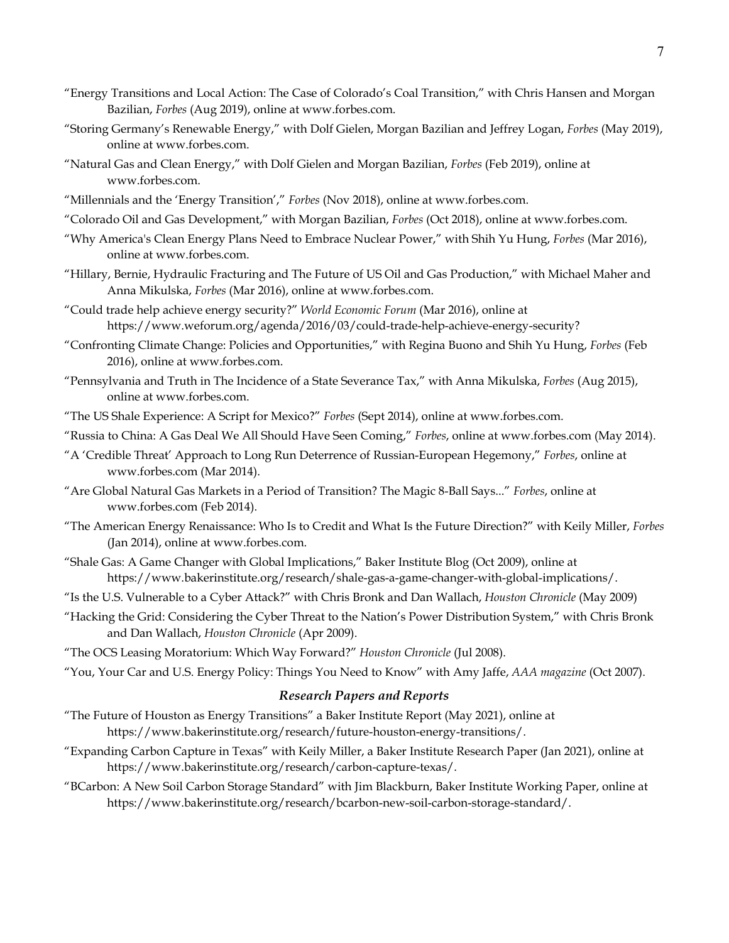- "Energy Transitions and Local Action: The Case of Colorado's Coal Transition," with Chris Hansen and Morgan Bazilian, *Forbes* (Aug 2019), online at www.forbes.com.
- "Storing Germany's Renewable Energy," with Dolf Gielen, Morgan Bazilian and Jeffrey Logan, *Forbes* (May 2019), online at www.forbes.com.
- "Natural Gas and Clean Energy," with Dolf Gielen and Morgan Bazilian, *Forbes* (Feb 2019), online at www.forbes.com
- "Millennials and the 'Energy Transition'," *Forbes* (Nov 2018), online at www.forbes.com.
- "Colorado Oil and Gas Development," with Morgan Bazilian, *Forbes* (Oct 2018), online at www.forbes.com.
- "Why America's Clean Energy Plans Need to Embrace Nuclear Power," with Shih Yu Hung, *Forbes* (Mar 2016), online at www.forbes.com.
- "Hillary, Bernie, Hydraulic Fracturing and The Future of US Oil and Gas Production," with Michael Maher and Anna Mikulska, *Forbes* (Mar 2016), online at www.forbes.com.
- "Could trade help achieve energy security?" *World Economic Forum* (Mar 2016), online at https://www.weforum.org/agenda/2016/03/could-trade-help-achieve-energy-security?
- "Confronting Climate Change: Policies and Opportunities," with Regina Buono and Shih Yu Hung, *Forbes* (Feb 2016), online at www.forbes.com.
- "Pennsylvania and Truth in The Incidence of a State Severance Tax," with Anna Mikulska, *Forbes* (Aug 2015), online at www.forbes.com.
- "The US Shale Experience: A Script for Mexico?" *Forbes* (Sept 2014), online at www.forbes.com.
- "Russia to China: A Gas Deal We All Should Have Seen Coming," *Forbes*, online at www.forbes.com (May 2014).
- "A 'Credible Threat' Approach to Long Run Deterrence of Russian-European Hegemony," *Forbes*, online at www.forbes.com (Mar 2014).
- "Are Global Natural Gas Markets in a Period of Transition? The Magic 8-Ball Says..." *Forbes*, online at www.forbes.com (Feb 2014).
- "The American Energy Renaissance: Who Is to Credit and What Is the Future Direction?" with Keily Miller, *Forbes* (Jan 2014), online at www.forbes.com.
- "Shale Gas: A Game Changer with Global Implications," Baker Institute Blog (Oct 2009), online at https://www.bakerinstitute.org/research/shale-gas-a-game-changer-with-global-implications/.
- "Is the U.S. Vulnerable to a Cyber Attack?" with Chris Bronk and Dan Wallach, *Houston Chronicle* (May 2009)
- "Hacking the Grid: Considering the Cyber Threat to the Nation's Power Distribution System," with Chris Bronk and Dan Wallach, *Houston Chronicle* (Apr 2009).
- "The OCS Leasing Moratorium: Which Way Forward?" *Houston Chronicle* (Jul 2008).

"You, Your Car and U.S. Energy Policy: Things You Need to Know" with Amy Jaffe, *AAA magazine* (Oct 2007).

## *Research Papers and Reports*

- "The Future of Houston as Energy Transitions" a Baker Institute Report (May 2021), online at https://www.bakerinstitute.org/research/future-houston-energy-transitions/.
- "Expanding Carbon Capture in Texas" with Keily Miller, a Baker Institute Research Paper (Jan 2021), online at https://www.bakerinstitute.org/research/carbon-capture-texas/.
- "BCarbon: A New Soil Carbon Storage Standard" with Jim Blackburn, Baker Institute Working Paper, online at https://www.bakerinstitute.org/research/bcarbon-new-soil-carbon-storage-standard/.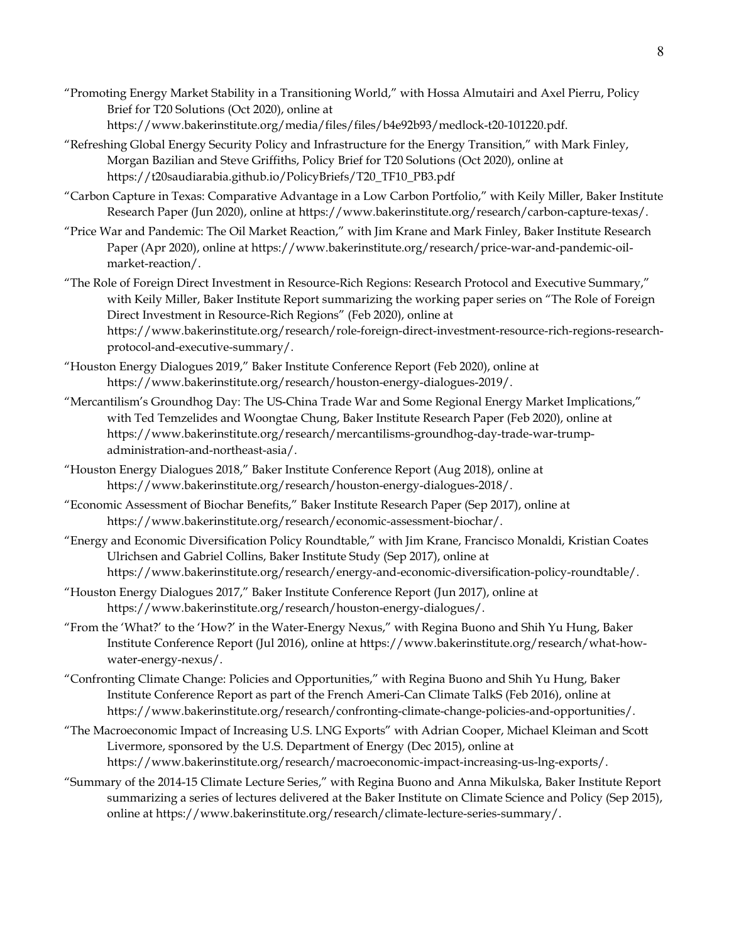- "Promoting Energy Market Stability in a Transitioning World," with Hossa Almutairi and Axel Pierru, Policy Brief for T20 Solutions (Oct 2020), online at https://www.bakerinstitute.org/media/files/files/b4e92b93/medlock-t20-101220.pdf.
- "Refreshing Global Energy Security Policy and Infrastructure for the Energy Transition," with Mark Finley, Morgan Bazilian and Steve Griffiths, Policy Brief for T20 Solutions (Oct 2020), online at https://t20saudiarabia.github.io/PolicyBriefs/T20\_TF10\_PB3.pdf
- "Carbon Capture in Texas: Comparative Advantage in a Low Carbon Portfolio," with Keily Miller, Baker Institute Research Paper (Jun 2020), online at https://www.bakerinstitute.org/research/carbon-capture-texas/.
- "Price War and Pandemic: The Oil Market Reaction," with Jim Krane and Mark Finley, Baker Institute Research Paper (Apr 2020), online at https://www.bakerinstitute.org/research/price-war-and-pandemic-oilmarket-reaction/.
- "The Role of Foreign Direct Investment in Resource-Rich Regions: Research Protocol and Executive Summary," with Keily Miller, Baker Institute Report summarizing the working paper series on "The Role of Foreign Direct Investment in Resource-Rich Regions" (Feb 2020), online at https://www.bakerinstitute.org/research/role-foreign-direct-investment-resource-rich-regions-researchprotocol-and-executive-summary/.
- "Houston Energy Dialogues 2019," Baker Institute Conference Report (Feb 2020), online at https://www.bakerinstitute.org/research/houston-energy-dialogues-2019/.
- "Mercantilism's Groundhog Day: The US-China Trade War and Some Regional Energy Market Implications," with Ted Temzelides and Woongtae Chung, Baker Institute Research Paper (Feb 2020), online at https://www.bakerinstitute.org/research/mercantilisms-groundhog-day-trade-war-trumpadministration-and-northeast-asia/.
- "Houston Energy Dialogues 2018," Baker Institute Conference Report (Aug 2018), online at https://www.bakerinstitute.org/research/houston-energy-dialogues-2018/.
- "Economic Assessment of Biochar Benefits," Baker Institute Research Paper (Sep 2017), online at https://www.bakerinstitute.org/research/economic-assessment-biochar/.
- "Energy and Economic Diversification Policy Roundtable," with Jim Krane, Francisco Monaldi, Kristian Coates Ulrichsen and Gabriel Collins, Baker Institute Study (Sep 2017), online at https://www.bakerinstitute.org/research/energy-and-economic-diversification-policy-roundtable/.
- "Houston Energy Dialogues 2017," Baker Institute Conference Report (Jun 2017), online at https://www.bakerinstitute.org/research/houston-energy-dialogues/.
- "From the 'What?' to the 'How?' in the Water-Energy Nexus," with Regina Buono and Shih Yu Hung, Baker Institute Conference Report (Jul 2016), online at https://www.bakerinstitute.org/research/what-howwater-energy-nexus/.
- "Confronting Climate Change: Policies and Opportunities," with Regina Buono and Shih Yu Hung, Baker Institute Conference Report as part of the French Ameri-Can Climate TalkS (Feb 2016), online at https://www.bakerinstitute.org/research/confronting-climate-change-policies-and-opportunities/.
- "The Macroeconomic Impact of Increasing U.S. LNG Exports" with Adrian Cooper, Michael Kleiman and Scott Livermore, sponsored by the U.S. Department of Energy (Dec 2015), online at https://www.bakerinstitute.org/research/macroeconomic-impact-increasing-us-lng-exports/.
- "Summary of the 2014-15 Climate Lecture Series," with Regina Buono and Anna Mikulska, Baker Institute Report summarizing a series of lectures delivered at the Baker Institute on Climate Science and Policy (Sep 2015), online at https://www.bakerinstitute.org/research/climate-lecture-series-summary/.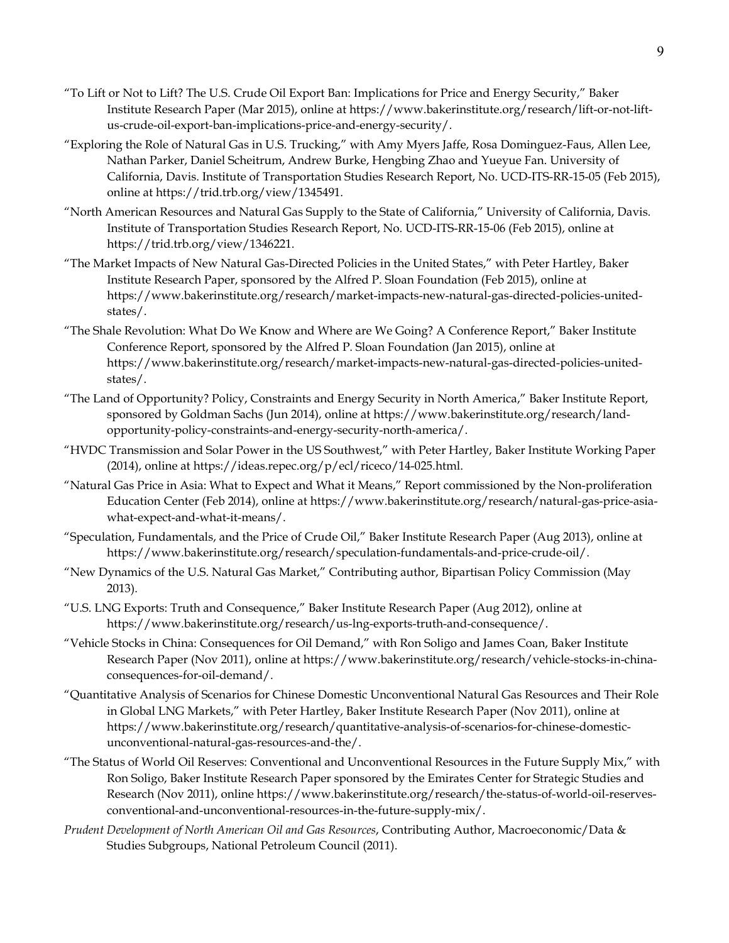- "To Lift or Not to Lift? The U.S. Crude Oil Export Ban: Implications for Price and Energy Security," Baker Institute Research Paper (Mar 2015), online at https://www.bakerinstitute.org/research/lift-or-not-liftus-crude-oil-export-ban-implications-price-and-energy-security/.
- "Exploring the Role of Natural Gas in U.S. Trucking," with Amy Myers Jaffe, Rosa Dominguez-Faus, Allen Lee, Nathan Parker, Daniel Scheitrum, Andrew Burke, Hengbing Zhao and Yueyue Fan. University of California, Davis. Institute of Transportation Studies Research Report, No. UCD-ITS-RR-15-05 (Feb 2015), online at https://trid.trb.org/view/1345491.
- "North American Resources and Natural Gas Supply to the State of California," University of California, Davis. Institute of Transportation Studies Research Report, No. UCD-ITS-RR-15-06 (Feb 2015), online at https://trid.trb.org/view/1346221.
- "The Market Impacts of New Natural Gas-Directed Policies in the United States," with Peter Hartley, Baker Institute Research Paper, sponsored by the Alfred P. Sloan Foundation (Feb 2015), online at https://www.bakerinstitute.org/research/market-impacts-new-natural-gas-directed-policies-unitedstates/.
- "The Shale Revolution: What Do We Know and Where are We Going? A Conference Report," Baker Institute Conference Report, sponsored by the Alfred P. Sloan Foundation (Jan 2015), online at https://www.bakerinstitute.org/research/market-impacts-new-natural-gas-directed-policies-unitedstates/.
- "The Land of Opportunity? Policy, Constraints and Energy Security in North America," Baker Institute Report, sponsored by Goldman Sachs (Jun 2014), online at https://www.bakerinstitute.org/research/landopportunity-policy-constraints-and-energy-security-north-america/.
- "HVDC Transmission and Solar Power in the US Southwest," with Peter Hartley, Baker Institute Working Paper (2014), online at https://ideas.repec.org/p/ecl/riceco/14-025.html.
- "Natural Gas Price in Asia: What to Expect and What it Means," Report commissioned by the Non-proliferation Education Center (Feb 2014), online at https://www.bakerinstitute.org/research/natural-gas-price-asiawhat-expect-and-what-it-means/.
- "Speculation, Fundamentals, and the Price of Crude Oil," Baker Institute Research Paper (Aug 2013), online at https://www.bakerinstitute.org/research/speculation-fundamentals-and-price-crude-oil/.
- "New Dynamics of the U.S. Natural Gas Market," Contributing author, Bipartisan Policy Commission (May 2013).
- "U.S. LNG Exports: Truth and Consequence," Baker Institute Research Paper (Aug 2012), online at https://www.bakerinstitute.org/research/us-lng-exports-truth-and-consequence/.
- "Vehicle Stocks in China: Consequences for Oil Demand," with Ron Soligo and James Coan, Baker Institute Research Paper (Nov 2011), online at https://www.bakerinstitute.org/research/vehicle-stocks-in-chinaconsequences-for-oil-demand/.
- "Quantitative Analysis of Scenarios for Chinese Domestic Unconventional Natural Gas Resources and Their Role in Global LNG Markets," with Peter Hartley, Baker Institute Research Paper (Nov 2011), online at https://www.bakerinstitute.org/research/quantitative-analysis-of-scenarios-for-chinese-domesticunconventional-natural-gas-resources-and-the/.
- "The Status of World Oil Reserves: Conventional and Unconventional Resources in the Future Supply Mix," with Ron Soligo, Baker Institute Research Paper sponsored by the Emirates Center for Strategic Studies and Research (Nov 2011), online https://www.bakerinstitute.org/research/the-status-of-world-oil-reservesconventional-and-unconventional-resources-in-the-future-supply-mix/.
- *Prudent Development of North American Oil and Gas Resources*, Contributing Author, Macroeconomic/Data & Studies Subgroups, National Petroleum Council (2011).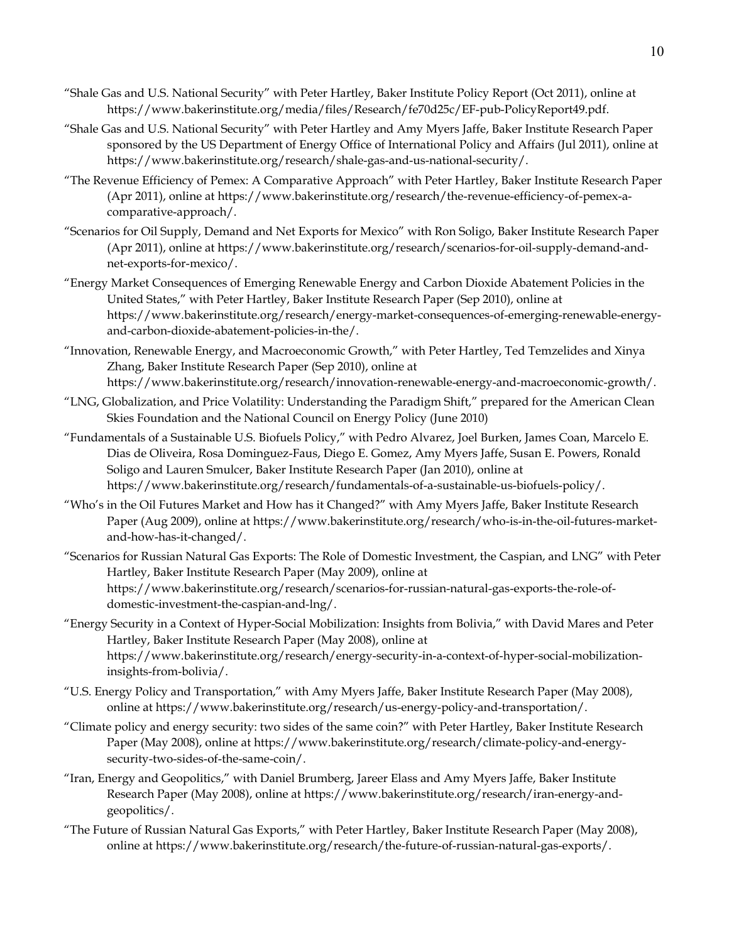- "Shale Gas and U.S. National Security" with Peter Hartley, Baker Institute Policy Report (Oct 2011), online at https://www.bakerinstitute.org/media/files/Research/fe70d25c/EF-pub-PolicyReport49.pdf.
- "Shale Gas and U.S. National Security" with Peter Hartley and Amy Myers Jaffe, Baker Institute Research Paper sponsored by the US Department of Energy Office of International Policy and Affairs (Jul 2011), online at https://www.bakerinstitute.org/research/shale-gas-and-us-national-security/.
- "The Revenue Efficiency of Pemex: A Comparative Approach" with Peter Hartley, Baker Institute Research Paper (Apr 2011), online at https://www.bakerinstitute.org/research/the-revenue-efficiency-of-pemex-acomparative-approach/.
- "Scenarios for Oil Supply, Demand and Net Exports for Mexico" with Ron Soligo, Baker Institute Research Paper (Apr 2011), online at https://www.bakerinstitute.org/research/scenarios-for-oil-supply-demand-andnet-exports-for-mexico/.
- "Energy Market Consequences of Emerging Renewable Energy and Carbon Dioxide Abatement Policies in the United States," with Peter Hartley, Baker Institute Research Paper (Sep 2010), online at https://www.bakerinstitute.org/research/energy-market-consequences-of-emerging-renewable-energyand-carbon-dioxide-abatement-policies-in-the/.
- "Innovation, Renewable Energy, and Macroeconomic Growth," with Peter Hartley, Ted Temzelides and Xinya Zhang, Baker Institute Research Paper (Sep 2010), online at https://www.bakerinstitute.org/research/innovation-renewable-energy-and-macroeconomic-growth/.
- "LNG, Globalization, and Price Volatility: Understanding the Paradigm Shift," prepared for the American Clean Skies Foundation and the National Council on Energy Policy (June 2010)
- "Fundamentals of a Sustainable U.S. Biofuels Policy," with Pedro Alvarez, Joel Burken, James Coan, Marcelo E. Dias de Oliveira, Rosa Dominguez-Faus, Diego E. Gomez, Amy Myers Jaffe, Susan E. Powers, Ronald Soligo and Lauren Smulcer, Baker Institute Research Paper (Jan 2010), online at https://www.bakerinstitute.org/research/fundamentals-of-a-sustainable-us-biofuels-policy/.
- "Who's in the Oil Futures Market and How has it Changed?" with Amy Myers Jaffe, Baker Institute Research Paper (Aug 2009), online at https://www.bakerinstitute.org/research/who-is-in-the-oil-futures-marketand-how-has-it-changed/.
- "Scenarios for Russian Natural Gas Exports: The Role of Domestic Investment, the Caspian, and LNG" with Peter Hartley, Baker Institute Research Paper (May 2009), online at https://www.bakerinstitute.org/research/scenarios-for-russian-natural-gas-exports-the-role-ofdomestic-investment-the-caspian-and-lng/.
- "Energy Security in a Context of Hyper-Social Mobilization: Insights from Bolivia," with David Mares and Peter Hartley, Baker Institute Research Paper (May 2008), online at https://www.bakerinstitute.org/research/energy-security-in-a-context-of-hyper-social-mobilizationinsights-from-bolivia/.
- "U.S. Energy Policy and Transportation," with Amy Myers Jaffe, Baker Institute Research Paper (May 2008), online at https://www.bakerinstitute.org/research/us-energy-policy-and-transportation/.
- "Climate policy and energy security: two sides of the same coin?" with Peter Hartley, Baker Institute Research Paper (May 2008), online at https://www.bakerinstitute.org/research/climate-policy-and-energysecurity-two-sides-of-the-same-coin/.
- "Iran, Energy and Geopolitics," with Daniel Brumberg, Jareer Elass and Amy Myers Jaffe, Baker Institute Research Paper (May 2008), online at https://www.bakerinstitute.org/research/iran-energy-andgeopolitics/.
- "The Future of Russian Natural Gas Exports," with Peter Hartley, Baker Institute Research Paper (May 2008), online at https://www.bakerinstitute.org/research/the-future-of-russian-natural-gas-exports/.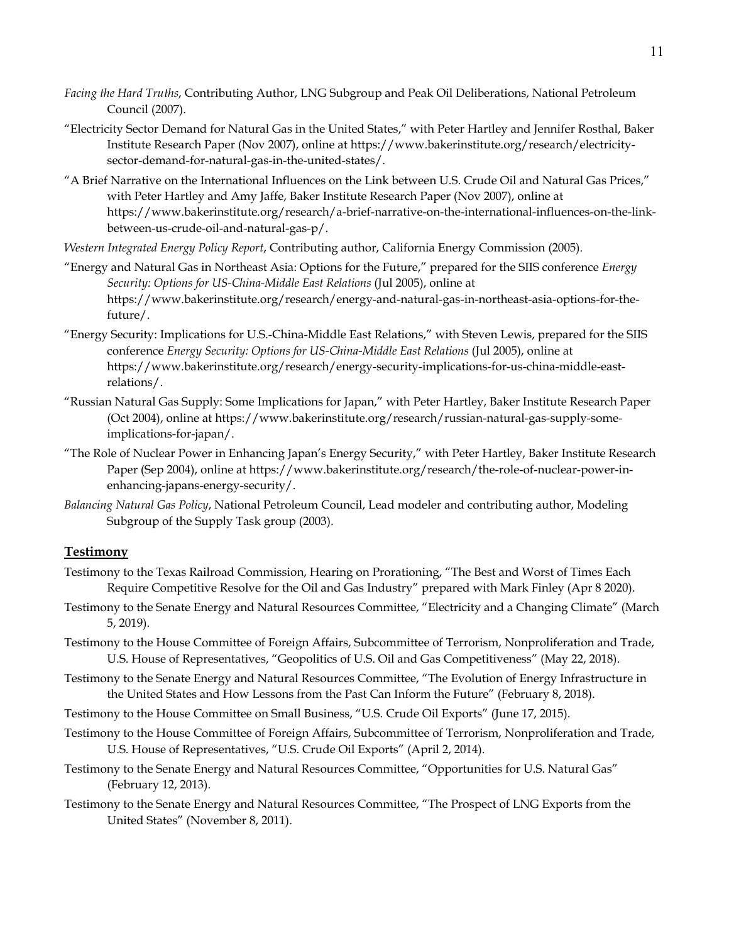- *Facing the Hard Truths*, Contributing Author, LNG Subgroup and Peak Oil Deliberations, National Petroleum Council (2007).
- "Electricity Sector Demand for Natural Gas in the United States," with Peter Hartley and Jennifer Rosthal, Baker Institute Research Paper (Nov 2007), online at https://www.bakerinstitute.org/research/electricitysector-demand-for-natural-gas-in-the-united-states/.
- "A Brief Narrative on the International Influences on the Link between U.S. Crude Oil and Natural Gas Prices," with Peter Hartley and Amy Jaffe, Baker Institute Research Paper (Nov 2007), online at https://www.bakerinstitute.org/research/a-brief-narrative-on-the-international-influences-on-the-linkbetween-us-crude-oil-and-natural-gas-p/.
- *Western Integrated Energy Policy Report*, Contributing author, California Energy Commission (2005).
- "Energy and Natural Gas in Northeast Asia: Options for the Future," prepared for the SIIS conference *Energy Security: Options for US-China-Middle East Relations* (Jul 2005), online at https://www.bakerinstitute.org/research/energy-and-natural-gas-in-northeast-asia-options-for-thefuture/.
- "Energy Security: Implications for U.S.-China-Middle East Relations," with Steven Lewis, prepared for the SIIS conference *Energy Security: Options for US-China-Middle East Relations* (Jul 2005), online at https://www.bakerinstitute.org/research/energy-security-implications-for-us-china-middle-eastrelations/.
- "Russian Natural Gas Supply: Some Implications for Japan," with Peter Hartley, Baker Institute Research Paper (Oct 2004), online at https://www.bakerinstitute.org/research/russian-natural-gas-supply-someimplications-for-japan/.
- "The Role of Nuclear Power in Enhancing Japan's Energy Security," with Peter Hartley, Baker Institute Research Paper (Sep 2004), online at https://www.bakerinstitute.org/research/the-role-of-nuclear-power-inenhancing-japans-energy-security/.
- *Balancing Natural Gas Policy*, National Petroleum Council, Lead modeler and contributing author, Modeling Subgroup of the Supply Task group (2003).

#### **Testimony**

- Testimony to the Texas Railroad Commission, Hearing on Prorationing, "The Best and Worst of Times Each Require Competitive Resolve for the Oil and Gas Industry" prepared with Mark Finley (Apr 8 2020).
- Testimony to the Senate Energy and Natural Resources Committee, "Electricity and a Changing Climate" (March 5, 2019).
- Testimony to the House Committee of Foreign Affairs, Subcommittee of Terrorism, Nonproliferation and Trade, U.S. House of Representatives, "Geopolitics of U.S. Oil and Gas Competitiveness" (May 22, 2018).
- Testimony to the Senate Energy and Natural Resources Committee, "The Evolution of Energy Infrastructure in the United States and How Lessons from the Past Can Inform the Future" (February 8, 2018).
- Testimony to the House Committee on Small Business, "U.S. Crude Oil Exports" (June 17, 2015).
- Testimony to the House Committee of Foreign Affairs, Subcommittee of Terrorism, Nonproliferation and Trade, U.S. House of Representatives, "U.S. Crude Oil Exports" (April 2, 2014).
- Testimony to the Senate Energy and Natural Resources Committee, "Opportunities for U.S. Natural Gas" (February 12, 2013).
- Testimony to the Senate Energy and Natural Resources Committee, "The Prospect of LNG Exports from the United States" (November 8, 2011).